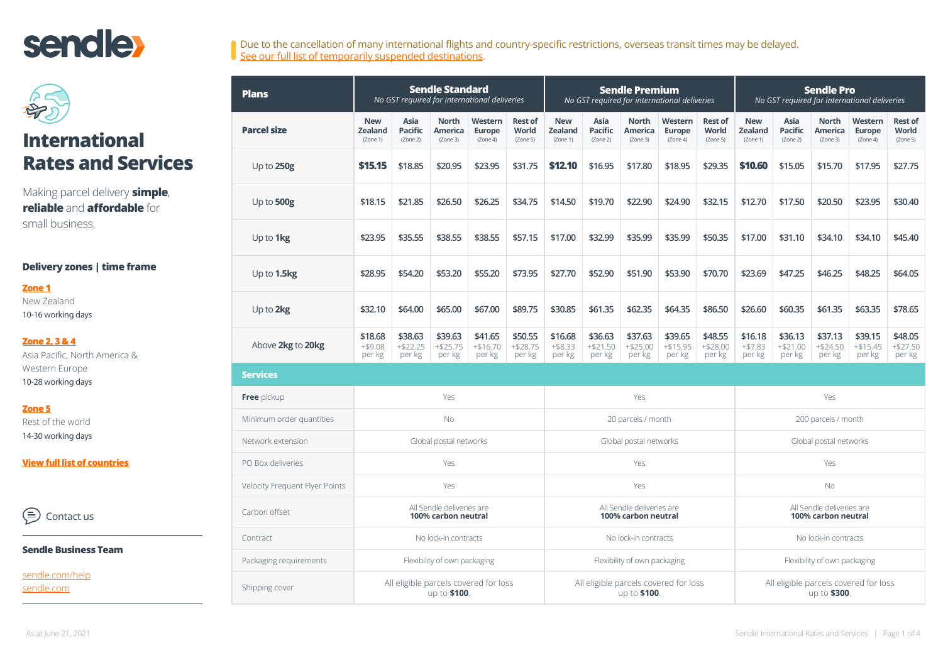# **sendle**



# **International Rates and Services**

Making parcel delivery **simple**, **reliable** and **affordable** for small business.

### **Delivery zones | time frame**

#### **[Zone 1](#page-2-0)**

New Zealand 10-16 working days

### **[Zone 2, 3 & 4](#page-2-0)** Asia Pacific, North America &

Western Europe 10-28 working days

### **[Zone 5](#page-3-0)**

Rest of the world 14-30 working days

**Vie[w full list of countries](#page-2-0)**

∈ Contact us

#### **Sendle Business Team**

[sendle.com/help](http://sendle.com/help) [sendle.com](http://sendle.com)

| Due to the cancellation of many international flights and country-specific restrictions, overseas transit times may be delayed. |  |
|---------------------------------------------------------------------------------------------------------------------------------|--|
| See our full list of temporarily suspended destinations.                                                                        |  |

| <b>Plans</b>                   |                                                  |                                    | <b>Sendle Standard</b>              | No GST required for international deliveries     |                                     |                                          | <b>Sendle Premium</b><br>No GST required for international deliveries |                                            |                                      |                                            | <b>Sendle Pro</b><br>No GST required for international deliveries |                                    |                                            |                                 |                                     |
|--------------------------------|--------------------------------------------------|------------------------------------|-------------------------------------|--------------------------------------------------|-------------------------------------|------------------------------------------|-----------------------------------------------------------------------|--------------------------------------------|--------------------------------------|--------------------------------------------|-------------------------------------------------------------------|------------------------------------|--------------------------------------------|---------------------------------|-------------------------------------|
| <b>Parcel size</b>             | <b>New</b><br><b>Zealand</b><br>(Zone 1)         | Asia<br><b>Pacific</b><br>(Zone 2) | <b>North</b><br>America<br>(Zone 3) | Western<br><b>Europe</b><br>(Zone 4)             | <b>Rest of</b><br>World<br>(Zone 5) | <b>New</b><br><b>Zealand</b><br>(Zone 1) | Asia<br><b>Pacific</b><br>(Zone 2)                                    | <b>North</b><br><b>America</b><br>(Zone 3) | Western<br><b>Europe</b><br>(Zone 4) | <b>Rest of</b><br><b>World</b><br>(Zone 5) | <b>New</b><br><b>Zealand</b><br>(Zone 1)                          | Asia<br><b>Pacific</b><br>(Zone 2) | <b>North</b><br><b>America</b><br>(Zone 3) | Western<br>Europe<br>(Zone 4)   | <b>Rest of</b><br>World<br>(Zone 5) |
| Up to 250g                     | \$15.15                                          | \$18.85                            | \$20.95                             | \$23.95                                          | \$31.75                             | \$12.10                                  | \$16.95                                                               | \$17.80                                    | \$18.95                              | \$29.35                                    | \$10.60                                                           | \$15.05                            | \$15.70                                    | \$17.95                         | \$27.75                             |
| Up to 500g                     | \$18.15                                          | \$21.85                            | \$26.50                             | \$26.25                                          | \$34.75                             | \$14.50                                  | \$19.70                                                               | \$22.90                                    | \$24.90                              | \$32.15                                    | \$12.70                                                           | \$17.50                            | \$20.50                                    | \$23.95                         | \$30.40                             |
| Up to 1kg                      | \$23.95                                          | \$35.55                            | \$38.55                             | \$38.55                                          | \$57.15                             | \$17.00                                  | \$32.99                                                               | \$35.99                                    | \$35.99                              | \$50.35                                    | \$17.00                                                           | \$31.10                            | \$34.10                                    | \$34.10                         | \$45.40                             |
| Up to 1.5kg                    | \$28.95                                          | \$54.20                            | \$53.20                             | \$55.20                                          | \$73.95                             | \$27.70                                  | \$52.90                                                               | \$51.90                                    | \$53.90                              | \$70.70                                    | \$23.69                                                           | \$47.25                            | \$46.25                                    | \$48.25                         | \$64.05                             |
| Up to 2kg                      | \$32.10                                          | \$64.00                            | \$65.00                             | \$67.00                                          | \$89.75                             | \$30.85                                  | \$61.35                                                               | \$62.35                                    | \$64.35                              | \$86.50                                    | \$26.60                                                           | \$60.35                            | \$61.35                                    | \$63.35                         | \$78.65                             |
| Above 2kg to 20kg              | \$18.68<br>$+ $9.08$<br>per kg                   | \$38.63<br>$+ $22.25$<br>per kg    | \$39.63<br>$+ $25.75$<br>per kg     | \$41.65<br>$+ $16.70$<br>per kg                  | \$50.55<br>$+ $28.75$<br>per kg     | \$16.68<br>$+ $8.33$<br>per kg           | \$36.63<br>$+ $21.50$<br>per kg                                       | \$37.63<br>$+ $25.00$<br>per kg            | \$39.65<br>$+ $15.95$<br>per kg      | \$48.55<br>$+ $28.00$<br>per kg            | \$16.18<br>$+ $7.83$<br>per kg                                    | \$36.13<br>$+ $21.00$<br>per kg    | \$37.13<br>$+ $24.50$<br>per kg            | \$39.15<br>$+ $15.45$<br>per kg | \$48.05<br>$+ $27.50$<br>per kg     |
| <b>Services</b>                |                                                  |                                    |                                     |                                                  |                                     |                                          |                                                                       |                                            |                                      |                                            |                                                                   |                                    |                                            |                                 |                                     |
| Free pickup                    | Yes                                              |                                    |                                     | Yes                                              |                                     |                                          | Yes                                                                   |                                            |                                      |                                            |                                                                   |                                    |                                            |                                 |                                     |
| Minimum order quantities       |                                                  |                                    | <b>No</b>                           |                                                  |                                     | 20 parcels / month                       |                                                                       |                                            | 200 parcels / month                  |                                            |                                                                   |                                    |                                            |                                 |                                     |
| Network extension              |                                                  |                                    | Global postal networks              |                                                  |                                     | Global postal networks                   |                                                                       |                                            |                                      | Global postal networks                     |                                                                   |                                    |                                            |                                 |                                     |
| PO Box deliveries              |                                                  |                                    | Yes                                 |                                                  |                                     | Yes                                      |                                                                       |                                            | Yes                                  |                                            |                                                                   |                                    |                                            |                                 |                                     |
| Velocity Frequent Flyer Points |                                                  |                                    | Yes                                 |                                                  |                                     |                                          |                                                                       |                                            | Yes                                  |                                            | <b>No</b>                                                         |                                    |                                            |                                 |                                     |
| Carbon offset                  | All Sendle deliveries are<br>100% carbon neutral |                                    |                                     | All Sendle deliveries are<br>100% carbon neutral |                                     |                                          | All Sendle deliveries are<br>100% carbon neutral                      |                                            |                                      |                                            |                                                                   |                                    |                                            |                                 |                                     |
| Contract                       | No lock-in contracts                             |                                    |                                     | No lock-in contracts                             |                                     |                                          | No lock-in contracts                                                  |                                            |                                      |                                            |                                                                   |                                    |                                            |                                 |                                     |
| Packaging requirements         | Flexibility of own packaging                     |                                    |                                     |                                                  | Flexibility of own packaging        |                                          |                                                                       | Flexibility of own packaging               |                                      |                                            |                                                                   |                                    |                                            |                                 |                                     |
| Shipping cover                 |                                                  |                                    | up to \$100.                        | All eligible parcels covered for loss            |                                     |                                          | All eligible parcels covered for loss<br>up to \$100.                 |                                            |                                      |                                            | All eligible parcels covered for loss<br>up to \$300.             |                                    |                                            |                                 |                                     |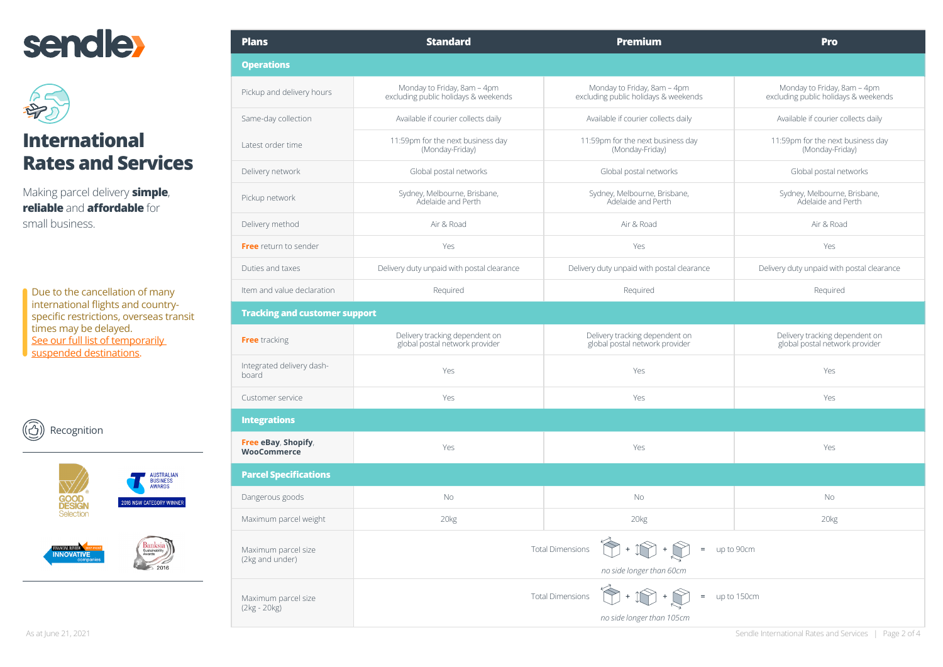



# **International Rates and Services**

Making parcel delivery **simple**, **reliable** and **affordable** for small business.

Due to the cancellation of many international flights and countryspecific restrictions, overseas transit times may be delayed. See our full list of temporarily [suspended destinations](https://try.sendle.com/hubfs/content/files/PDF/sendle-international-temporarily-suspended-destinations-covid19.pdf).







| <b>Plans</b>                              | <b>Standard</b>                                                     | <b>Premium</b>                                                                         | <b>Pro</b>                                                          |  |  |  |
|-------------------------------------------|---------------------------------------------------------------------|----------------------------------------------------------------------------------------|---------------------------------------------------------------------|--|--|--|
| <b>Operations</b>                         |                                                                     |                                                                                        |                                                                     |  |  |  |
| Pickup and delivery hours                 | Monday to Friday, 8am - 4pm<br>excluding public holidays & weekends | Monday to Friday, 8am - 4pm<br>excluding public holidays & weekends                    | Monday to Friday, 8am - 4pm<br>excluding public holidays & weekends |  |  |  |
| Same-day collection                       | Available if courier collects daily                                 | Available if courier collects daily                                                    | Available if courier collects daily                                 |  |  |  |
| Latest order time                         | 11:59pm for the next business day<br>(Monday-Friday)                | 11:59pm for the next business day<br>(Monday-Friday)                                   | 11:59pm for the next business day<br>(Monday-Friday)                |  |  |  |
| Delivery network                          | Global postal networks                                              | Global postal networks                                                                 | Global postal networks                                              |  |  |  |
| Pickup network                            | Sydney, Melbourne, Brisbane,<br>Adelaide and Perth                  | Sydney, Melbourne, Brisbane,<br>Adelaide and Perth                                     | Sydney, Melbourne, Brisbane,<br>Adelaide and Perth                  |  |  |  |
| Delivery method                           | Air & Road                                                          | Air & Road                                                                             | Air & Road                                                          |  |  |  |
| Free return to sender                     | Yes                                                                 | Yes                                                                                    | Yes                                                                 |  |  |  |
| Duties and taxes                          | Delivery duty unpaid with postal clearance                          | Delivery duty unpaid with postal clearance                                             | Delivery duty unpaid with postal clearance                          |  |  |  |
| Item and value declaration                | Required                                                            | Required                                                                               | Required                                                            |  |  |  |
| <b>Tracking and customer support</b>      |                                                                     |                                                                                        |                                                                     |  |  |  |
| Free tracking                             | Delivery tracking dependent on<br>global postal network provider    | Delivery tracking dependent on<br>global postal network provider                       | Delivery tracking dependent on<br>global postal network provider    |  |  |  |
| Integrated delivery dash-<br>board        | Yes                                                                 | Yes                                                                                    | Yes                                                                 |  |  |  |
| Customer service                          | Yes                                                                 | Yes                                                                                    | Yes                                                                 |  |  |  |
| <b>Integrations</b>                       |                                                                     |                                                                                        |                                                                     |  |  |  |
| Free eBay, Shopify,<br><b>WooCommerce</b> | Yes                                                                 | Yes                                                                                    | Yes                                                                 |  |  |  |
| <b>Parcel Specifications</b>              |                                                                     |                                                                                        |                                                                     |  |  |  |
| Dangerous goods                           | No                                                                  | No.                                                                                    | <b>No</b>                                                           |  |  |  |
| Maximum parcel weight                     | 20 <sub>kg</sub>                                                    | 20kg                                                                                   | 20kg                                                                |  |  |  |
| Maximum parcel size<br>(2kg and under)    |                                                                     | <b>Total Dimensions</b><br>$=$ up to 90cm<br>no side longer than 60cm                  |                                                                     |  |  |  |
| Maximum parcel size<br>(2kg - 20kg)       |                                                                     | $\hat{N}$ +<br>$=$ up to 150cm<br><b>Total Dimensions</b><br>no side longer than 105cm |                                                                     |  |  |  |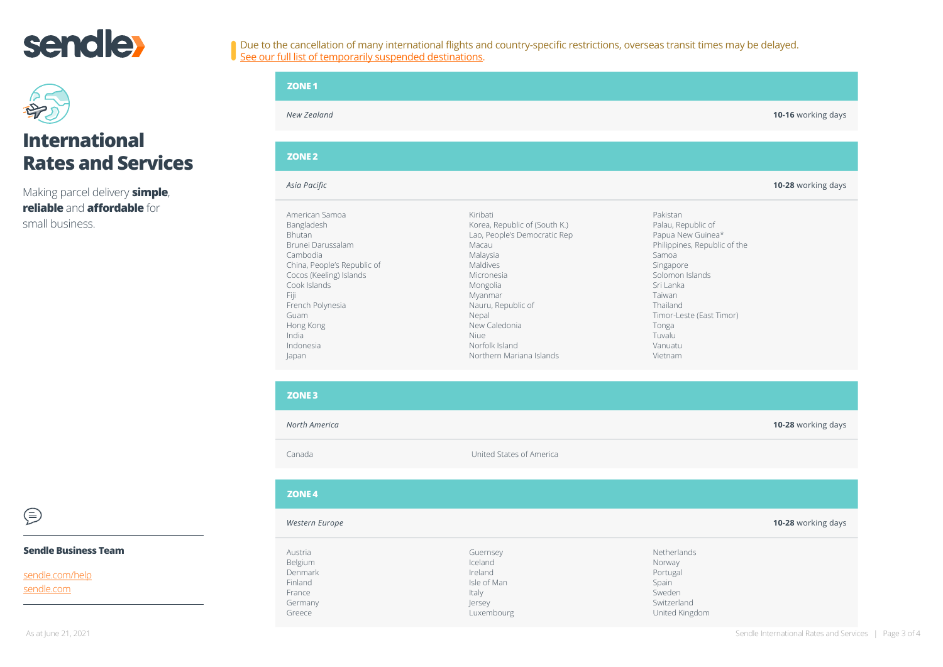<span id="page-2-0"></span>



## **International Rates and Services**

Making parcel delivery **simple**, **reliable** and **affordable** for small business.

| <b>ZONE 1</b>                                                                                                                                                                                                                            |                                                                                                                                                                                                                                                       |                                                                                                                                                                                                                                      |                    |
|------------------------------------------------------------------------------------------------------------------------------------------------------------------------------------------------------------------------------------------|-------------------------------------------------------------------------------------------------------------------------------------------------------------------------------------------------------------------------------------------------------|--------------------------------------------------------------------------------------------------------------------------------------------------------------------------------------------------------------------------------------|--------------------|
| New Zealand                                                                                                                                                                                                                              |                                                                                                                                                                                                                                                       |                                                                                                                                                                                                                                      | 10-16 working days |
| <b>ZONE 2</b>                                                                                                                                                                                                                            |                                                                                                                                                                                                                                                       |                                                                                                                                                                                                                                      |                    |
| Asia Pacific                                                                                                                                                                                                                             |                                                                                                                                                                                                                                                       |                                                                                                                                                                                                                                      | 10-28 working days |
| American Samoa<br>Bangladesh<br><b>Bhutan</b><br>Brunei Darussalam<br>Cambodia<br>China, People's Republic of<br>Cocos (Keeling) Islands<br>Cook Islands<br>Fiji<br>French Polynesia<br>Guam<br>Hong Kong<br>India<br>Indonesia<br>Japan | Kiribati<br>Korea, Republic of (South K.)<br>Lao, People's Democratic Rep<br>Macau<br>Malaysia<br>Maldives<br>Micronesia<br>Mongolia<br>Myanmar<br>Nauru, Republic of<br>Nepal<br>New Caledonia<br>Niue<br>Norfolk Island<br>Northern Mariana Islands | Pakistan<br>Palau, Republic of<br>Papua New Guinea*<br>Philippines, Republic of the<br>Samoa<br>Singapore<br>Solomon Islands<br>Sri Lanka<br>Taiwan<br>Thailand<br>Timor-Leste (East Timor)<br>Tonga<br>Tuvalu<br>Vanuatu<br>Vietnam |                    |

| <b>ZONE 3</b>                 |                                |                                   |                    |
|-------------------------------|--------------------------------|-----------------------------------|--------------------|
| North America                 |                                |                                   | 10-28 working days |
| Canada                        | United States of America       |                                   |                    |
|                               |                                |                                   |                    |
| <b>ZONE 4</b>                 |                                |                                   |                    |
| Western Europe                |                                |                                   | 10-28 working days |
| Austria<br>Belgium<br>Denmark | Guernsey<br>Iceland<br>Ireland | Netherlands<br>Norway<br>Portugal |                    |
| Finland<br>France<br>Germany  | Isle of Man<br>Italy<br>Jersey | Spain<br>Sweden<br>Switzerland    |                    |

Luxembourg

 $\bigoplus$ 

### **Sendle Business Team**

Greece

[sendle.com/help](http://sendle.com/help) [sendle.com](http://sendle.com)

United Kingdom